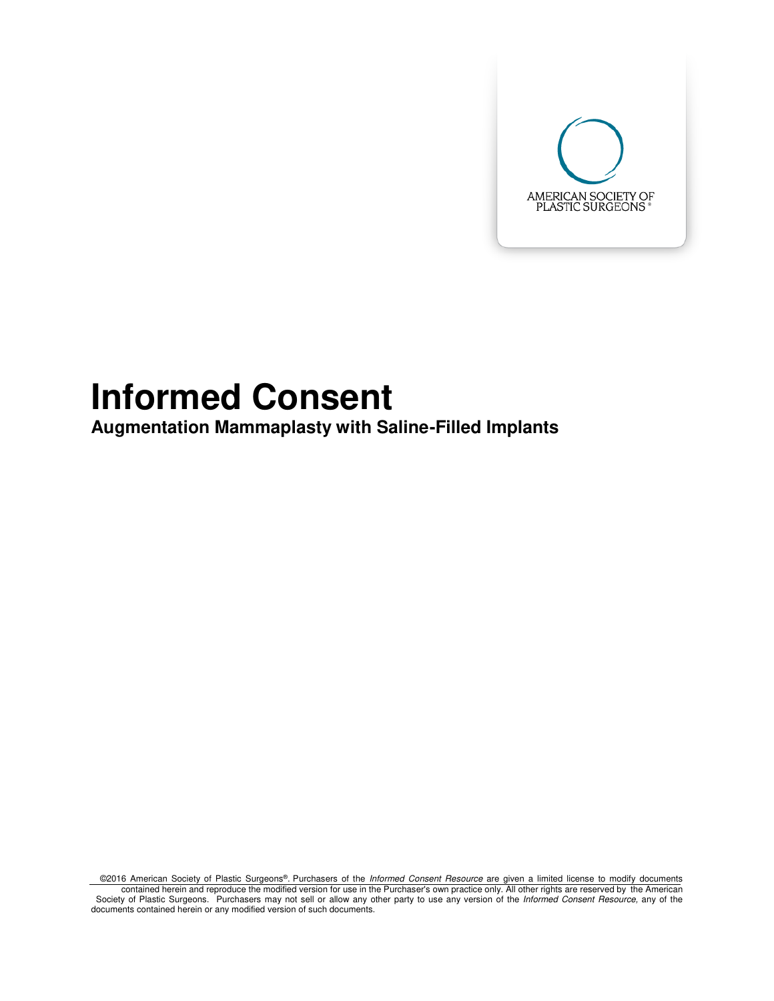

# **Informed Consent**

**Augmentation Mammaplasty with Saline-Filled Implants** 

©2016 American Society of Plastic Surgeons®. Purchasers of the Informed Consent Resource are given a limited license to modify documents contained herein and reproduce the modified version for use in the Purchaser's own practice only. All other rights are reserved by the American<br>Society of Plastic Surgeons. Purchasers may not sell or allow any other party documents contained herein or any modified version of such documents.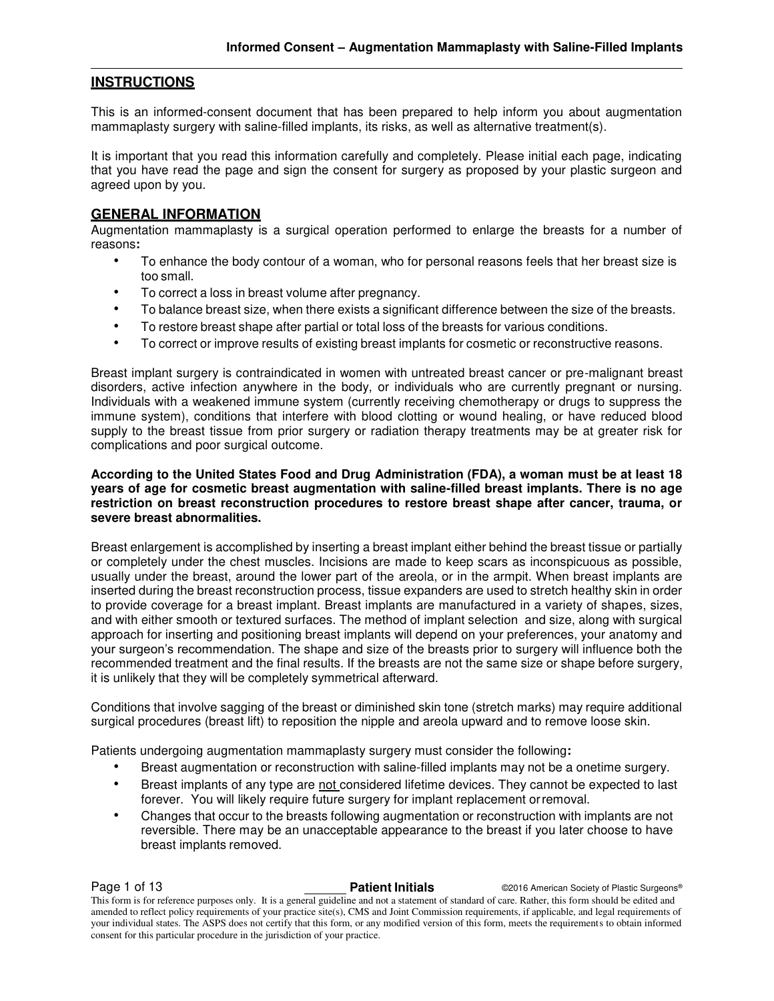# **INSTRUCTIONS**

This is an informed-consent document that has been prepared to help inform you about augmentation mammaplasty surgery with saline-filled implants, its risks, as well as alternative treatment(s).

It is important that you read this information carefully and completely. Please initial each page, indicating that you have read the page and sign the consent for surgery as proposed by your plastic surgeon and agreed upon by you.

# **GENERAL INFORMATION**

Augmentation mammaplasty is a surgical operation performed to enlarge the breasts for a number of reasons**:** 

- To enhance the body contour of a woman, who for personal reasons feels that her breast size is too small.
- To correct a loss in breast volume after pregnancy.
- To balance breast size, when there exists a significant difference between the size of the breasts.
- To restore breast shape after partial or total loss of the breasts for various conditions.
- To correct or improve results of existing breast implants for cosmetic or reconstructive reasons.

Breast implant surgery is contraindicated in women with untreated breast cancer or pre-malignant breast disorders, active infection anywhere in the body, or individuals who are currently pregnant or nursing. Individuals with a weakened immune system (currently receiving chemotherapy or drugs to suppress the immune system), conditions that interfere with blood clotting or wound healing, or have reduced blood supply to the breast tissue from prior surgery or radiation therapy treatments may be at greater risk for complications and poor surgical outcome.

#### **According to the United States Food and Drug Administration (FDA), a woman must be at least 18 years of age for cosmetic breast augmentation with saline-filled breast implants. There is no age restriction on breast reconstruction procedures to restore breast shape after cancer, trauma, or severe breast abnormalities.**

Breast enlargement is accomplished by inserting a breast implant either behind the breast tissue or partially or completely under the chest muscles. Incisions are made to keep scars as inconspicuous as possible, usually under the breast, around the lower part of the areola, or in the armpit. When breast implants are inserted during the breast reconstruction process, tissue expanders are used to stretch healthy skin in order to provide coverage for a breast implant. Breast implants are manufactured in a variety of shapes, sizes, and with either smooth or textured surfaces. The method of implant selection and size, along with surgical approach for inserting and positioning breast implants will depend on your preferences, your anatomy and your surgeon's recommendation. The shape and size of the breasts prior to surgery will influence both the recommended treatment and the final results. If the breasts are not the same size or shape before surgery, it is unlikely that they will be completely symmetrical afterward.

Conditions that involve sagging of the breast or diminished skin tone (stretch marks) may require additional surgical procedures (breast lift) to reposition the nipple and areola upward and to remove loose skin.

Patients undergoing augmentation mammaplasty surgery must consider the following**:** 

- Breast augmentation or reconstruction with saline-filled implants may not be a onetime surgery.
- Breast implants of any type are not considered lifetime devices. They cannot be expected to last forever. You will likely require future surgery for implant replacement or removal.
- Changes that occur to the breasts following augmentation or reconstruction with implants are not reversible. There may be an unacceptable appearance to the breast if you later choose to have breast implants removed.

**Page 1 of 13 Patient Initials Patient Initials C2016 American Society of Plastic Surgeons®** 

This form is for reference purposes only. It is a general guideline and not a statement of standard of care. Rather, this form should be edited and amended to reflect policy requirements of your practice site(s), CMS and Joint Commission requirements, if applicable, and legal requirements of your individual states. The ASPS does not certify that this form, or any modified version of this form, meets the requirements to obtain informed consent for this particular procedure in the jurisdiction of your practice.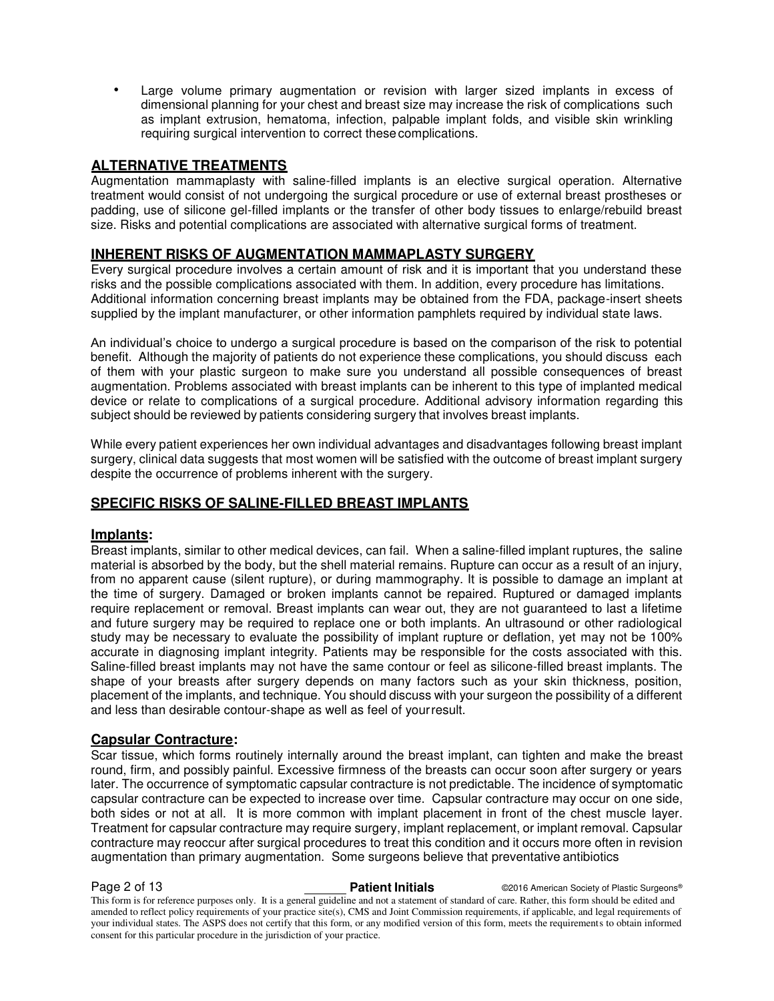Large volume primary augmentation or revision with larger sized implants in excess of dimensional planning for your chest and breast size may increase the risk of complications such as implant extrusion, hematoma, infection, palpable implant folds, and visible skin wrinkling requiring surgical intervention to correct these complications.

# **ALTERNATIVE TREATMENTS**

Augmentation mammaplasty with saline-filled implants is an elective surgical operation. Alternative treatment would consist of not undergoing the surgical procedure or use of external breast prostheses or padding, use of silicone gel-filled implants or the transfer of other body tissues to enlarge/rebuild breast size. Risks and potential complications are associated with alternative surgical forms of treatment.

# **INHERENT RISKS OF AUGMENTATION MAMMAPLASTY SURGERY**

Every surgical procedure involves a certain amount of risk and it is important that you understand these risks and the possible complications associated with them. In addition, every procedure has limitations. Additional information concerning breast implants may be obtained from the FDA, package-insert sheets supplied by the implant manufacturer, or other information pamphlets required by individual state laws.

An individual's choice to undergo a surgical procedure is based on the comparison of the risk to potential benefit. Although the majority of patients do not experience these complications, you should discuss each of them with your plastic surgeon to make sure you understand all possible consequences of breast augmentation. Problems associated with breast implants can be inherent to this type of implanted medical device or relate to complications of a surgical procedure. Additional advisory information regarding this subject should be reviewed by patients considering surgery that involves breast implants.

While every patient experiences her own individual advantages and disadvantages following breast implant surgery, clinical data suggests that most women will be satisfied with the outcome of breast implant surgery despite the occurrence of problems inherent with the surgery.

# **SPECIFIC RISKS OF SALINE-FILLED BREAST IMPLANTS**

# **Implants:**

Breast implants, similar to other medical devices, can fail. When a saline-filled implant ruptures, the saline material is absorbed by the body, but the shell material remains. Rupture can occur as a result of an injury, from no apparent cause (silent rupture), or during mammography. It is possible to damage an implant at the time of surgery. Damaged or broken implants cannot be repaired. Ruptured or damaged implants require replacement or removal. Breast implants can wear out, they are not guaranteed to last a lifetime and future surgery may be required to replace one or both implants. An ultrasound or other radiological study may be necessary to evaluate the possibility of implant rupture or deflation, yet may not be 100% accurate in diagnosing implant integrity. Patients may be responsible for the costs associated with this. Saline-filled breast implants may not have the same contour or feel as silicone-filled breast implants. The shape of your breasts after surgery depends on many factors such as your skin thickness, position, placement of the implants, and technique. You should discuss with your surgeon the possibility of a different and less than desirable contour-shape as well as feel of your result.

# **Capsular Contracture:**

Scar tissue, which forms routinely internally around the breast implant, can tighten and make the breast round, firm, and possibly painful. Excessive firmness of the breasts can occur soon after surgery or years later. The occurrence of symptomatic capsular contracture is not predictable. The incidence of symptomatic capsular contracture can be expected to increase over time. Capsular contracture may occur on one side, both sides or not at all. It is more common with implant placement in front of the chest muscle layer. Treatment for capsular contracture may require surgery, implant replacement, or implant removal. Capsular contracture may reoccur after surgical procedures to treat this condition and it occurs more often in revision augmentation than primary augmentation. Some surgeons believe that preventative antibiotics

**Page 2 of 13 Patient Initials Patient Initials C2016 American Society of Plastic Surgeons®** This form is for reference purposes only. It is a general guideline and not a statement of standard of care. Rather, this form should be edited and amended to reflect policy requirements of your practice site(s), CMS and Joint Commission requirements, if applicable, and legal requirements of your individual states. The ASPS does not certify that this form, or any modified version of this form, meets the requirements to obtain informed consent for this particular procedure in the jurisdiction of your practice.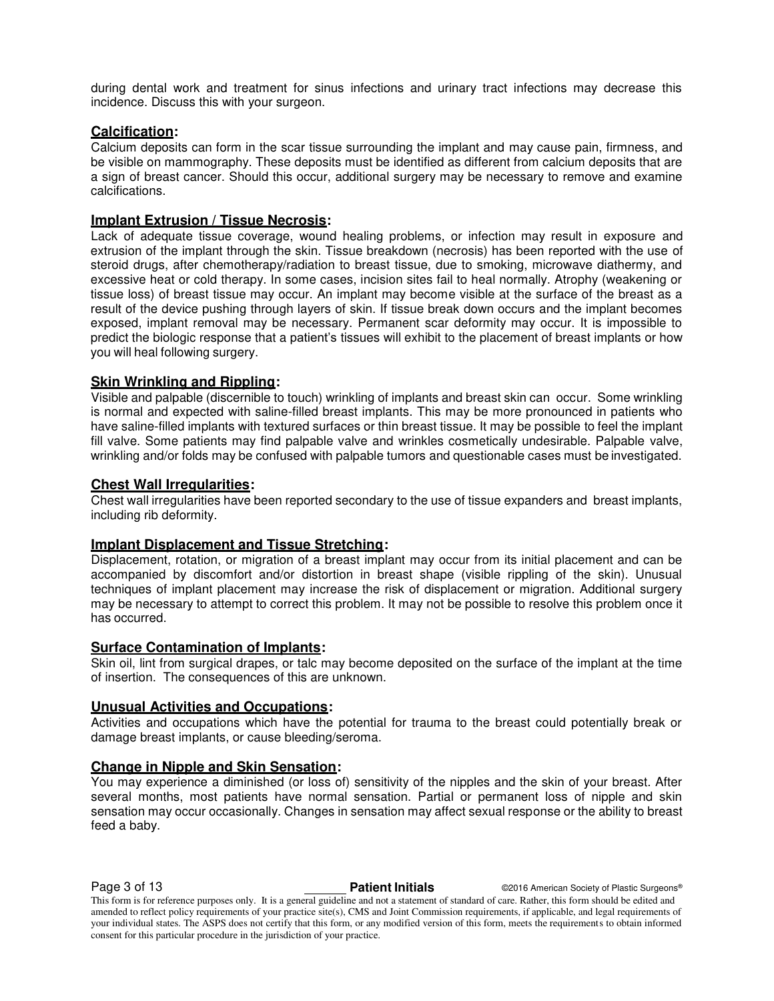during dental work and treatment for sinus infections and urinary tract infections may decrease this incidence. Discuss this with your surgeon.

# **Calcification:**

Calcium deposits can form in the scar tissue surrounding the implant and may cause pain, firmness, and be visible on mammography. These deposits must be identified as different from calcium deposits that are a sign of breast cancer. Should this occur, additional surgery may be necessary to remove and examine calcifications.

# **Implant Extrusion / Tissue Necrosis:**

Lack of adequate tissue coverage, wound healing problems, or infection may result in exposure and extrusion of the implant through the skin. Tissue breakdown (necrosis) has been reported with the use of steroid drugs, after chemotherapy/radiation to breast tissue, due to smoking, microwave diathermy, and excessive heat or cold therapy. In some cases, incision sites fail to heal normally. Atrophy (weakening or tissue loss) of breast tissue may occur. An implant may become visible at the surface of the breast as a result of the device pushing through layers of skin. If tissue break down occurs and the implant becomes exposed, implant removal may be necessary. Permanent scar deformity may occur. It is impossible to predict the biologic response that a patient's tissues will exhibit to the placement of breast implants or how you will heal following surgery.

# **Skin Wrinkling and Rippling:**

Visible and palpable (discernible to touch) wrinkling of implants and breast skin can occur. Some wrinkling is normal and expected with saline-filled breast implants. This may be more pronounced in patients who have saline-filled implants with textured surfaces or thin breast tissue. It may be possible to feel the implant fill valve. Some patients may find palpable valve and wrinkles cosmetically undesirable. Palpable valve, wrinkling and/or folds may be confused with palpable tumors and questionable cases must be investigated.

# **Chest Wall Irregularities:**

Chest wall irregularities have been reported secondary to the use of tissue expanders and breast implants, including rib deformity.

### **Implant Displacement and Tissue Stretching:**

Displacement, rotation, or migration of a breast implant may occur from its initial placement and can be accompanied by discomfort and/or distortion in breast shape (visible rippling of the skin). Unusual techniques of implant placement may increase the risk of displacement or migration. Additional surgery may be necessary to attempt to correct this problem. It may not be possible to resolve this problem once it has occurred.

# **Surface Contamination of Implants:**

Skin oil, lint from surgical drapes, or talc may become deposited on the surface of the implant at the time of insertion. The consequences of this are unknown.

### **Unusual Activities and Occupations:**

Activities and occupations which have the potential for trauma to the breast could potentially break or damage breast implants, or cause bleeding/seroma.

# **Change in Nipple and Skin Sensation:**

You may experience a diminished (or loss of) sensitivity of the nipples and the skin of your breast. After several months, most patients have normal sensation. Partial or permanent loss of nipple and skin sensation may occur occasionally. Changes in sensation may affect sexual response or the ability to breast feed a baby.

Page 3 of 13 **Patient Initials** ©2016 American Society of Plastic Surgeons®

This form is for reference purposes only. It is a general guideline and not a statement of standard of care. Rather, this form should be edited and amended to reflect policy requirements of your practice site(s), CMS and Joint Commission requirements, if applicable, and legal requirements of your individual states. The ASPS does not certify that this form, or any modified version of this form, meets the requirements to obtain informed consent for this particular procedure in the jurisdiction of your practice.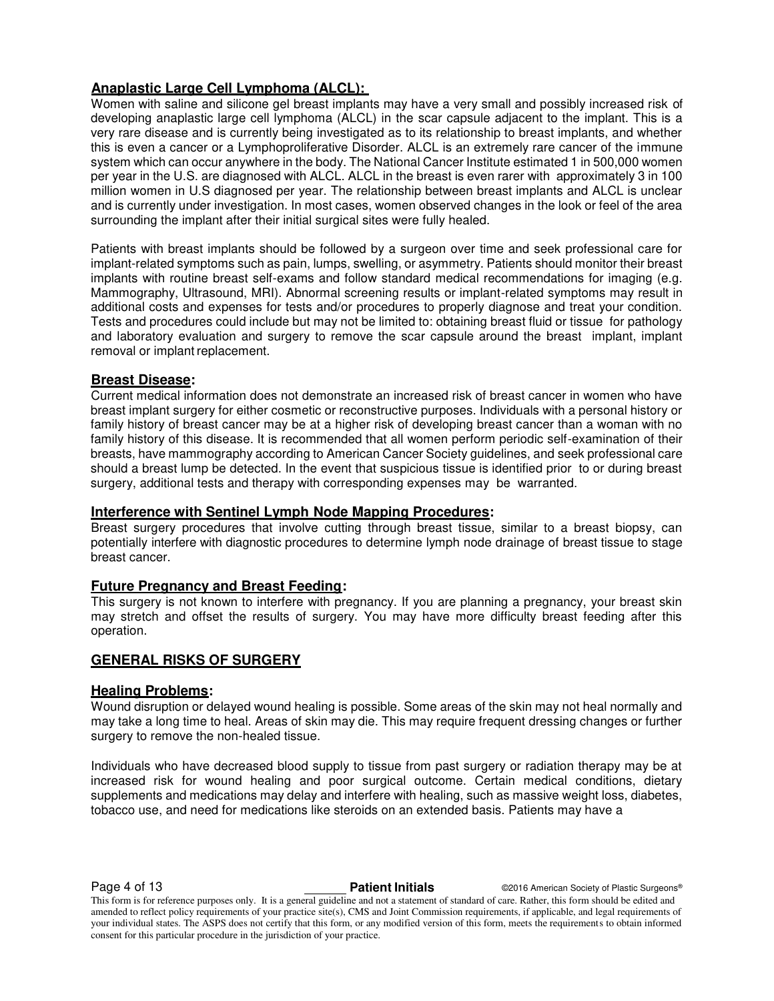# **Anaplastic Large Cell Lymphoma (ALCL):**

Women with saline and silicone gel breast implants may have a very small and possibly increased risk of developing anaplastic large cell lymphoma (ALCL) in the scar capsule adjacent to the implant. This is a very rare disease and is currently being investigated as to its relationship to breast implants, and whether this is even a cancer or a Lymphoproliferative Disorder. ALCL is an extremely rare cancer of the immune system which can occur anywhere in the body. The National Cancer Institute estimated 1 in 500,000 women per year in the U.S. are diagnosed with ALCL. ALCL in the breast is even rarer with approximately 3 in 100 million women in U.S diagnosed per year. The relationship between breast implants and ALCL is unclear and is currently under investigation. In most cases, women observed changes in the look or feel of the area surrounding the implant after their initial surgical sites were fully healed.

Patients with breast implants should be followed by a surgeon over time and seek professional care for implant-related symptoms such as pain, lumps, swelling, or asymmetry. Patients should monitor their breast implants with routine breast self-exams and follow standard medical recommendations for imaging (e.g. Mammography, Ultrasound, MRI). Abnormal screening results or implant-related symptoms may result in additional costs and expenses for tests and/or procedures to properly diagnose and treat your condition. Tests and procedures could include but may not be limited to: obtaining breast fluid or tissue for pathology and laboratory evaluation and surgery to remove the scar capsule around the breast implant, implant removal or implant replacement.

# **Breast Disease:**

Current medical information does not demonstrate an increased risk of breast cancer in women who have breast implant surgery for either cosmetic or reconstructive purposes. Individuals with a personal history or family history of breast cancer may be at a higher risk of developing breast cancer than a woman with no family history of this disease. It is recommended that all women perform periodic self-examination of their breasts, have mammography according to American Cancer Society guidelines, and seek professional care should a breast lump be detected. In the event that suspicious tissue is identified prior to or during breast surgery, additional tests and therapy with corresponding expenses may be warranted.

# **Interference with Sentinel Lymph Node Mapping Procedures:**

Breast surgery procedures that involve cutting through breast tissue, similar to a breast biopsy, can potentially interfere with diagnostic procedures to determine lymph node drainage of breast tissue to stage breast cancer.

# **Future Pregnancy and Breast Feeding:**

This surgery is not known to interfere with pregnancy. If you are planning a pregnancy, your breast skin may stretch and offset the results of surgery. You may have more difficulty breast feeding after this operation.

# **GENERAL RISKS OF SURGERY**

# **Healing Problems:**

Wound disruption or delayed wound healing is possible. Some areas of the skin may not heal normally and may take a long time to heal. Areas of skin may die. This may require frequent dressing changes or further surgery to remove the non-healed tissue.

Individuals who have decreased blood supply to tissue from past surgery or radiation therapy may be at increased risk for wound healing and poor surgical outcome. Certain medical conditions, dietary supplements and medications may delay and interfere with healing, such as massive weight loss, diabetes, tobacco use, and need for medications like steroids on an extended basis. Patients may have a

This form is for reference purposes only. It is a general guideline and not a statement of standard of care. Rather, this form should be edited and amended to reflect policy requirements of your practice site(s), CMS and Joint Commission requirements, if applicable, and legal requirements of your individual states. The ASPS does not certify that this form, or any modified version of this form, meets the requirements to obtain informed consent for this particular procedure in the jurisdiction of your practice.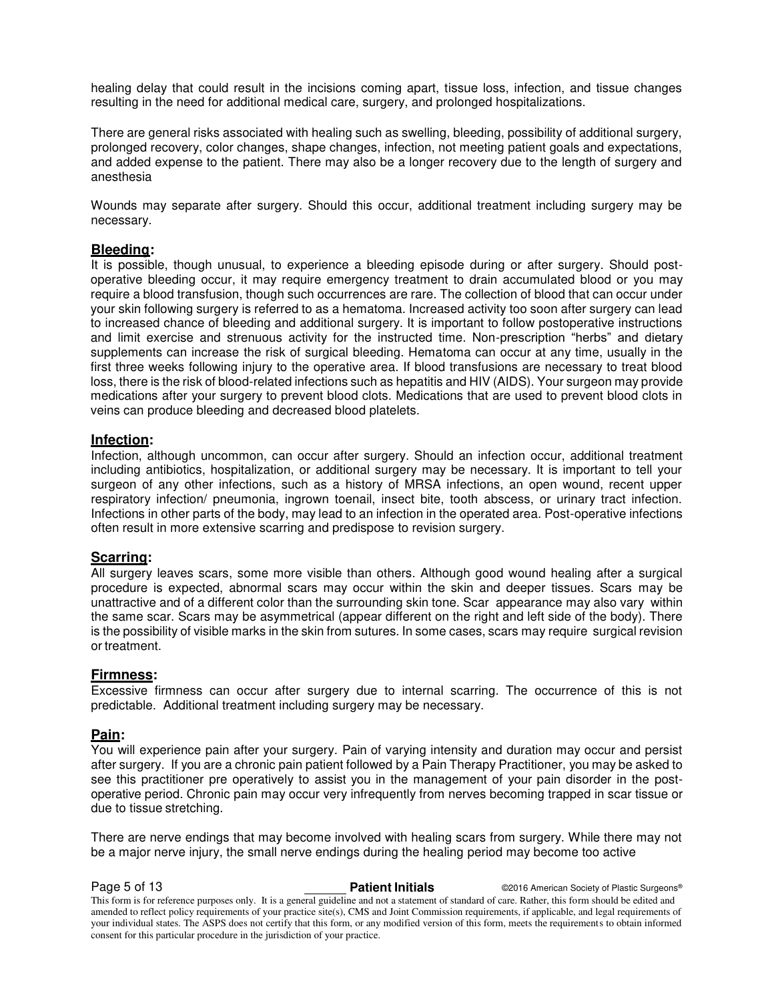healing delay that could result in the incisions coming apart, tissue loss, infection, and tissue changes resulting in the need for additional medical care, surgery, and prolonged hospitalizations.

There are general risks associated with healing such as swelling, bleeding, possibility of additional surgery, prolonged recovery, color changes, shape changes, infection, not meeting patient goals and expectations, and added expense to the patient. There may also be a longer recovery due to the length of surgery and anesthesia

Wounds may separate after surgery. Should this occur, additional treatment including surgery may be necessary.

# **Bleeding:**

It is possible, though unusual, to experience a bleeding episode during or after surgery. Should postoperative bleeding occur, it may require emergency treatment to drain accumulated blood or you may require a blood transfusion, though such occurrences are rare. The collection of blood that can occur under your skin following surgery is referred to as a hematoma. Increased activity too soon after surgery can lead to increased chance of bleeding and additional surgery. It is important to follow postoperative instructions and limit exercise and strenuous activity for the instructed time. Non-prescription "herbs" and dietary supplements can increase the risk of surgical bleeding. Hematoma can occur at any time, usually in the first three weeks following injury to the operative area. If blood transfusions are necessary to treat blood loss, there is the risk of blood-related infections such as hepatitis and HIV (AIDS). Your surgeon may provide medications after your surgery to prevent blood clots. Medications that are used to prevent blood clots in veins can produce bleeding and decreased blood platelets.

# **Infection:**

Infection, although uncommon, can occur after surgery. Should an infection occur, additional treatment including antibiotics, hospitalization, or additional surgery may be necessary. It is important to tell your surgeon of any other infections, such as a history of MRSA infections, an open wound, recent upper respiratory infection/ pneumonia, ingrown toenail, insect bite, tooth abscess, or urinary tract infection. Infections in other parts of the body, may lead to an infection in the operated area. Post-operative infections often result in more extensive scarring and predispose to revision surgery.

### **Scarring:**

All surgery leaves scars, some more visible than others. Although good wound healing after a surgical procedure is expected, abnormal scars may occur within the skin and deeper tissues. Scars may be unattractive and of a different color than the surrounding skin tone. Scar appearance may also vary within the same scar. Scars may be asymmetrical (appear different on the right and left side of the body). There is the possibility of visible marks in the skin from sutures. In some cases, scars may require surgical revision or treatment.

### **Firmness:**

Excessive firmness can occur after surgery due to internal scarring. The occurrence of this is not predictable. Additional treatment including surgery may be necessary.

# **Pain:**

You will experience pain after your surgery. Pain of varying intensity and duration may occur and persist after surgery. If you are a chronic pain patient followed by a Pain Therapy Practitioner, you may be asked to see this practitioner pre operatively to assist you in the management of your pain disorder in the postoperative period. Chronic pain may occur very infrequently from nerves becoming trapped in scar tissue or due to tissue stretching.

There are nerve endings that may become involved with healing scars from surgery. While there may not be a major nerve injury, the small nerve endings during the healing period may become too active

**Page 5 of 13 Patient Initials Patient Initials C2016 American Society of Plastic Surgeons®** This form is for reference purposes only. It is a general guideline and not a statement of standard of care. Rather, this form should be edited and amended to reflect policy requirements of your practice site(s), CMS and Joint Commission requirements, if applicable, and legal requirements of your individual states. The ASPS does not certify that this form, or any modified version of this form, meets the requirements to obtain informed consent for this particular procedure in the jurisdiction of your practice.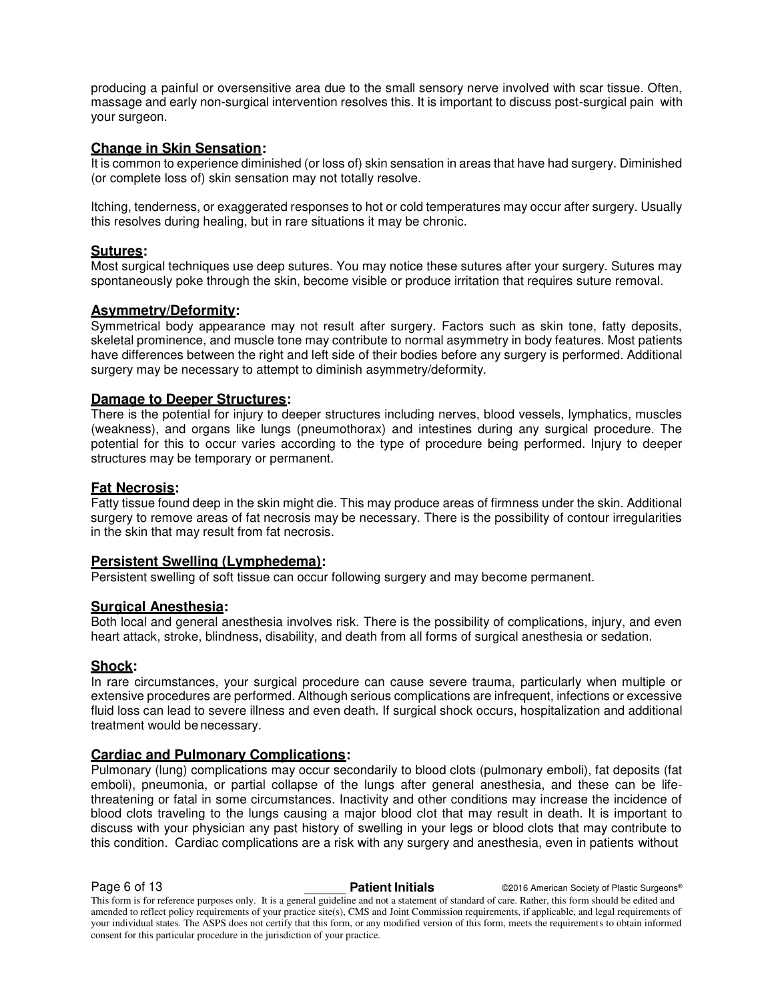producing a painful or oversensitive area due to the small sensory nerve involved with scar tissue. Often, massage and early non-surgical intervention resolves this. It is important to discuss post-surgical pain with your surgeon.

# **Change in Skin Sensation:**

It is common to experience diminished (or loss of) skin sensation in areas that have had surgery. Diminished (or complete loss of) skin sensation may not totally resolve.

Itching, tenderness, or exaggerated responses to hot or cold temperatures may occur after surgery. Usually this resolves during healing, but in rare situations it may be chronic.

# **Sutures:**

Most surgical techniques use deep sutures. You may notice these sutures after your surgery. Sutures may spontaneously poke through the skin, become visible or produce irritation that requires suture removal.

# **Asymmetry/Deformity:**

Symmetrical body appearance may not result after surgery. Factors such as skin tone, fatty deposits, skeletal prominence, and muscle tone may contribute to normal asymmetry in body features. Most patients have differences between the right and left side of their bodies before any surgery is performed. Additional surgery may be necessary to attempt to diminish asymmetry/deformity.

# **Damage to Deeper Structures:**

There is the potential for injury to deeper structures including nerves, blood vessels, lymphatics, muscles (weakness), and organs like lungs (pneumothorax) and intestines during any surgical procedure. The potential for this to occur varies according to the type of procedure being performed. Injury to deeper structures may be temporary or permanent.

### **Fat Necrosis:**

Fatty tissue found deep in the skin might die. This may produce areas of firmness under the skin. Additional surgery to remove areas of fat necrosis may be necessary. There is the possibility of contour irregularities in the skin that may result from fat necrosis.

# **Persistent Swelling (Lymphedema):**

Persistent swelling of soft tissue can occur following surgery and may become permanent.

# **Surgical Anesthesia:**

Both local and general anesthesia involves risk. There is the possibility of complications, injury, and even heart attack, stroke, blindness, disability, and death from all forms of surgical anesthesia or sedation.

### **Shock:**

In rare circumstances, your surgical procedure can cause severe trauma, particularly when multiple or extensive procedures are performed. Although serious complications are infrequent, infections or excessive fluid loss can lead to severe illness and even death. If surgical shock occurs, hospitalization and additional treatment would be necessary.

# **Cardiac and Pulmonary Complications:**

Pulmonary (lung) complications may occur secondarily to blood clots (pulmonary emboli), fat deposits (fat emboli), pneumonia, or partial collapse of the lungs after general anesthesia, and these can be lifethreatening or fatal in some circumstances. Inactivity and other conditions may increase the incidence of blood clots traveling to the lungs causing a major blood clot that may result in death. It is important to discuss with your physician any past history of swelling in your legs or blood clots that may contribute to this condition. Cardiac complications are a risk with any surgery and anesthesia, even in patients without

**Page 6 of 13 Patient Initials Patient Initials C2016 American Society of Plastic Surgeons®** 

This form is for reference purposes only. It is a general guideline and not a statement of standard of care. Rather, this form should be edited and amended to reflect policy requirements of your practice site(s), CMS and Joint Commission requirements, if applicable, and legal requirements of your individual states. The ASPS does not certify that this form, or any modified version of this form, meets the requirements to obtain informed consent for this particular procedure in the jurisdiction of your practice.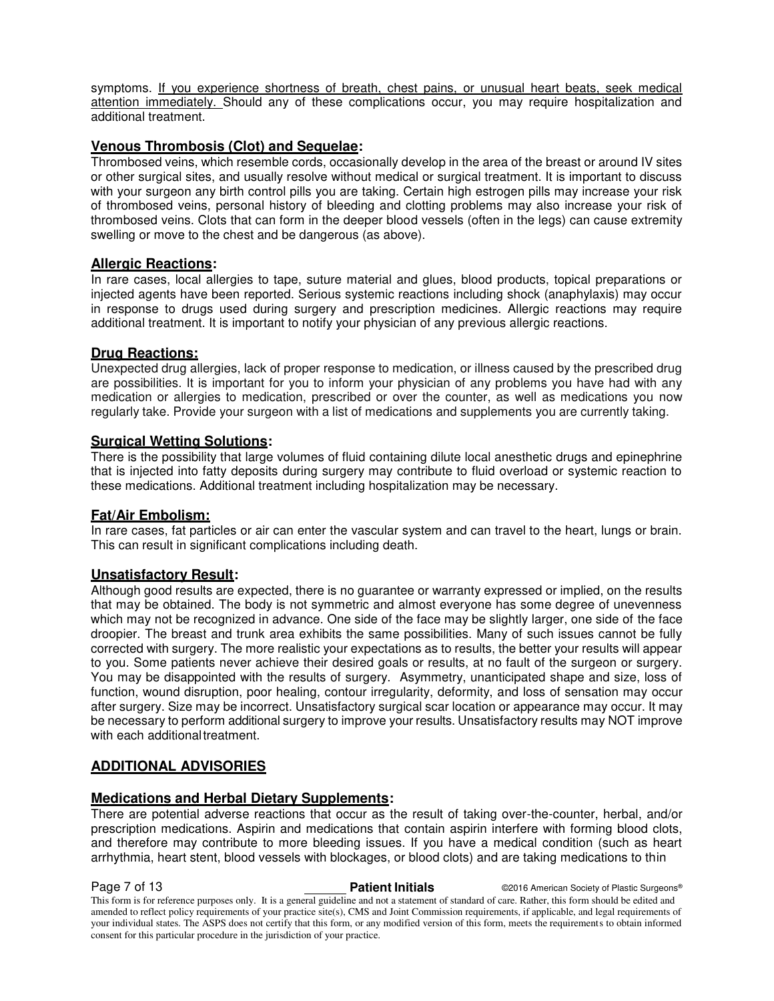symptoms. If you experience shortness of breath, chest pains, or unusual heart beats, seek medical attention immediately. Should any of these complications occur, you may require hospitalization and additional treatment.

# **Venous Thrombosis (Clot) and Sequelae:**

Thrombosed veins, which resemble cords, occasionally develop in the area of the breast or around IV sites or other surgical sites, and usually resolve without medical or surgical treatment. It is important to discuss with your surgeon any birth control pills you are taking. Certain high estrogen pills may increase your risk of thrombosed veins, personal history of bleeding and clotting problems may also increase your risk of thrombosed veins. Clots that can form in the deeper blood vessels (often in the legs) can cause extremity swelling or move to the chest and be dangerous (as above).

# **Allergic Reactions:**

In rare cases, local allergies to tape, suture material and glues, blood products, topical preparations or injected agents have been reported. Serious systemic reactions including shock (anaphylaxis) may occur in response to drugs used during surgery and prescription medicines. Allergic reactions may require additional treatment. It is important to notify your physician of any previous allergic reactions.

# **Drug Reactions:**

Unexpected drug allergies, lack of proper response to medication, or illness caused by the prescribed drug are possibilities. It is important for you to inform your physician of any problems you have had with any medication or allergies to medication, prescribed or over the counter, as well as medications you now regularly take. Provide your surgeon with a list of medications and supplements you are currently taking.

# **Surgical Wetting Solutions:**

There is the possibility that large volumes of fluid containing dilute local anesthetic drugs and epinephrine that is injected into fatty deposits during surgery may contribute to fluid overload or systemic reaction to these medications. Additional treatment including hospitalization may be necessary.

# **Fat/Air Embolism:**

In rare cases, fat particles or air can enter the vascular system and can travel to the heart, lungs or brain. This can result in significant complications including death.

# **Unsatisfactory Result:**

Although good results are expected, there is no guarantee or warranty expressed or implied, on the results that may be obtained. The body is not symmetric and almost everyone has some degree of unevenness which may not be recognized in advance. One side of the face may be slightly larger, one side of the face droopier. The breast and trunk area exhibits the same possibilities. Many of such issues cannot be fully corrected with surgery. The more realistic your expectations as to results, the better your results will appear to you. Some patients never achieve their desired goals or results, at no fault of the surgeon or surgery. You may be disappointed with the results of surgery. Asymmetry, unanticipated shape and size, loss of function, wound disruption, poor healing, contour irregularity, deformity, and loss of sensation may occur after surgery. Size may be incorrect. Unsatisfactory surgical scar location or appearance may occur. It may be necessary to perform additional surgery to improve your results. Unsatisfactory results may NOT improve with each additional treatment.

# **ADDITIONAL ADVISORIES**

# **Medications and Herbal Dietary Supplements:**

There are potential adverse reactions that occur as the result of taking over-the-counter, herbal, and/or prescription medications. Aspirin and medications that contain aspirin interfere with forming blood clots, and therefore may contribute to more bleeding issues. If you have a medical condition (such as heart arrhythmia, heart stent, blood vessels with blockages, or blood clots) and are taking medications to thin

**Page 7 of 13 Patient Initials Patient Initials CALC American Society of Plastic Surgeons®** 

This form is for reference purposes only. It is a general guideline and not a statement of standard of care. Rather, this form should be edited and amended to reflect policy requirements of your practice site(s), CMS and Joint Commission requirements, if applicable, and legal requirements of your individual states. The ASPS does not certify that this form, or any modified version of this form, meets the requirements to obtain informed consent for this particular procedure in the jurisdiction of your practice.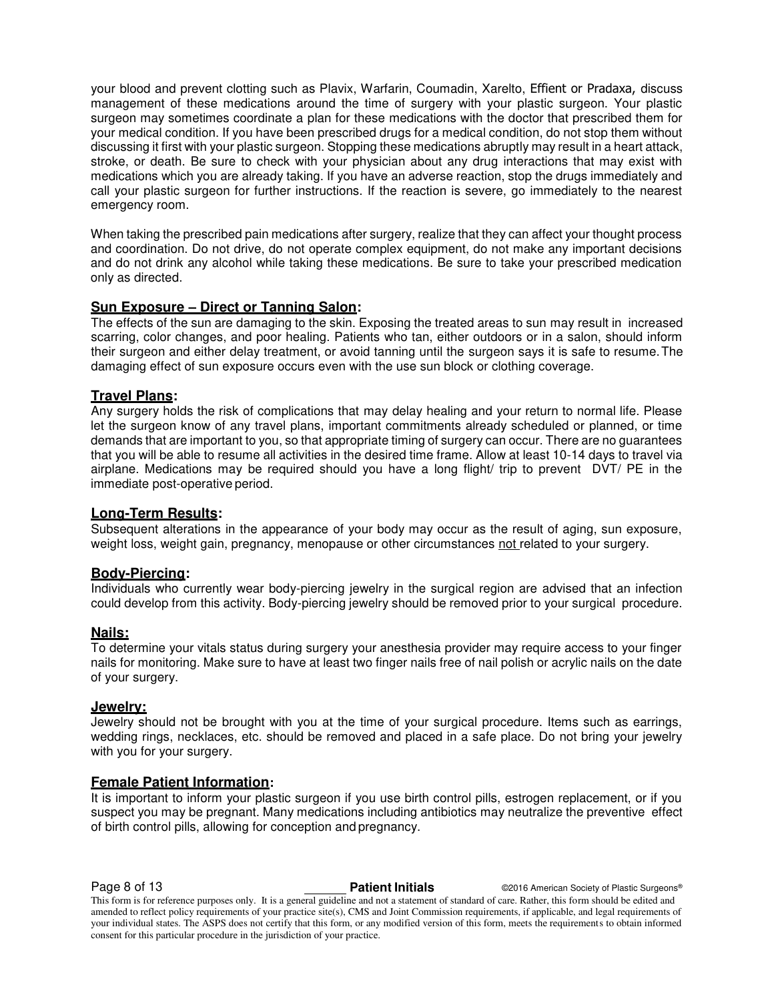your blood and prevent clotting such as Plavix, Warfarin, Coumadin, Xarelto, Effient or Pradaxa, discuss management of these medications around the time of surgery with your plastic surgeon. Your plastic surgeon may sometimes coordinate a plan for these medications with the doctor that prescribed them for your medical condition. If you have been prescribed drugs for a medical condition, do not stop them without discussing it first with your plastic surgeon. Stopping these medications abruptly may result in a heart attack, stroke, or death. Be sure to check with your physician about any drug interactions that may exist with medications which you are already taking. If you have an adverse reaction, stop the drugs immediately and call your plastic surgeon for further instructions. If the reaction is severe, go immediately to the nearest emergency room.

When taking the prescribed pain medications after surgery, realize that they can affect your thought process and coordination. Do not drive, do not operate complex equipment, do not make any important decisions and do not drink any alcohol while taking these medications. Be sure to take your prescribed medication only as directed.

# **Sun Exposure – Direct or Tanning Salon:**

The effects of the sun are damaging to the skin. Exposing the treated areas to sun may result in increased scarring, color changes, and poor healing. Patients who tan, either outdoors or in a salon, should inform their surgeon and either delay treatment, or avoid tanning until the surgeon says it is safe to resume. The damaging effect of sun exposure occurs even with the use sun block or clothing coverage.

# **Travel Plans:**

Any surgery holds the risk of complications that may delay healing and your return to normal life. Please let the surgeon know of any travel plans, important commitments already scheduled or planned, or time demands that are important to you, so that appropriate timing of surgery can occur. There are no guarantees that you will be able to resume all activities in the desired time frame. Allow at least 10-14 days to travel via airplane. Medications may be required should you have a long flight/ trip to prevent DVT/ PE in the immediate post-operative period.

### **Long-Term Results:**

Subsequent alterations in the appearance of your body may occur as the result of aging, sun exposure, weight loss, weight gain, pregnancy, menopause or other circumstances not related to your surgery.

### **Body-Piercing:**

Individuals who currently wear body-piercing jewelry in the surgical region are advised that an infection could develop from this activity. Body-piercing jewelry should be removed prior to your surgical procedure.

# **Nails:**

To determine your vitals status during surgery your anesthesia provider may require access to your finger nails for monitoring. Make sure to have at least two finger nails free of nail polish or acrylic nails on the date of your surgery.

### **Jewelry:**

Jewelry should not be brought with you at the time of your surgical procedure. Items such as earrings, wedding rings, necklaces, etc. should be removed and placed in a safe place. Do not bring your jewelry with you for your surgery.

# **Female Patient Information:**

It is important to inform your plastic surgeon if you use birth control pills, estrogen replacement, or if you suspect you may be pregnant. Many medications including antibiotics may neutralize the preventive effect of birth control pills, allowing for conception and pregnancy.

**Page 8 of 13 Patient Initials COVIG American Society of Plastic Surgeons<sup>®</sup> Page 2016 Plastic Surgeons** 

This form is for reference purposes only. It is a general guideline and not a statement of standard of care. Rather, this form should be edited and amended to reflect policy requirements of your practice site(s), CMS and Joint Commission requirements, if applicable, and legal requirements of your individual states. The ASPS does not certify that this form, or any modified version of this form, meets the requirements to obtain informed consent for this particular procedure in the jurisdiction of your practice.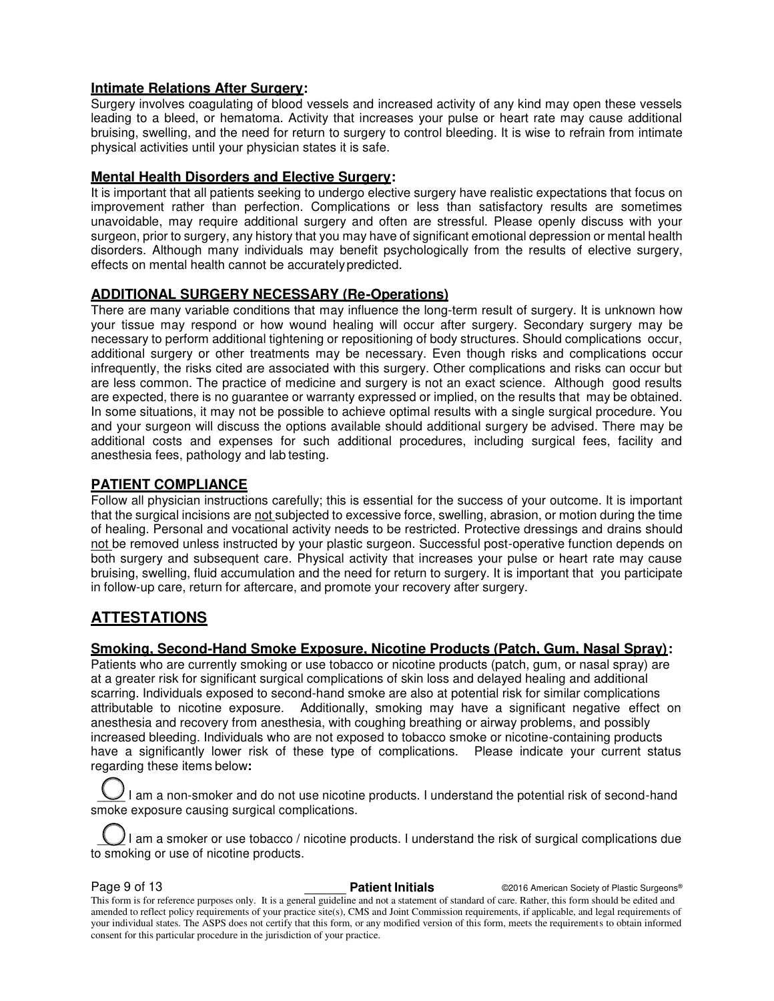# **Intimate Relations After Surgery:**

Surgery involves coagulating of blood vessels and increased activity of any kind may open these vessels leading to a bleed, or hematoma. Activity that increases your pulse or heart rate may cause additional bruising, swelling, and the need for return to surgery to control bleeding. It is wise to refrain from intimate physical activities until your physician states it is safe.

# **Mental Health Disorders and Elective Surgery:**

It is important that all patients seeking to undergo elective surgery have realistic expectations that focus on improvement rather than perfection. Complications or less than satisfactory results are sometimes unavoidable, may require additional surgery and often are stressful. Please openly discuss with your surgeon, prior to surgery, any history that you may have of significant emotional depression or mental health disorders. Although many individuals may benefit psychologically from the results of elective surgery, effects on mental health cannot be accurately predicted.

# **ADDITIONAL SURGERY NECESSARY (Re-Operations)**

There are many variable conditions that may influence the long-term result of surgery. It is unknown how your tissue may respond or how wound healing will occur after surgery. Secondary surgery may be necessary to perform additional tightening or repositioning of body structures. Should complications occur, additional surgery or other treatments may be necessary. Even though risks and complications occur infrequently, the risks cited are associated with this surgery. Other complications and risks can occur but are less common. The practice of medicine and surgery is not an exact science. Although good results are expected, there is no guarantee or warranty expressed or implied, on the results that may be obtained. In some situations, it may not be possible to achieve optimal results with a single surgical procedure. You and your surgeon will discuss the options available should additional surgery be advised. There may be additional costs and expenses for such additional procedures, including surgical fees, facility and anesthesia fees, pathology and lab testing.

# **PATIENT COMPLIANCE**

Follow all physician instructions carefully; this is essential for the success of your outcome. It is important that the surgical incisions are not subjected to excessive force, swelling, abrasion, or motion during the time of healing. Personal and vocational activity needs to be restricted. Protective dressings and drains should not be removed unless instructed by your plastic surgeon. Successful post-operative function depends on both surgery and subsequent care. Physical activity that increases your pulse or heart rate may cause bruising, swelling, fluid accumulation and the need for return to surgery. It is important that you participate in follow-up care, return for aftercare, and promote your recovery after surgery.

# **ATTESTATIONS**

# **Smoking, Second-Hand Smoke Exposure, Nicotine Products (Patch, Gum, Nasal Spray):**

Patients who are currently smoking or use tobacco or nicotine products (patch, gum, or nasal spray) are at a greater risk for significant surgical complications of skin loss and delayed healing and additional scarring. Individuals exposed to second-hand smoke are also at potential risk for similar complications attributable to nicotine exposure. Additionally, smoking may have a significant negative effect on anesthesia and recovery from anesthesia, with coughing breathing or airway problems, and possibly increased bleeding. Individuals who are not exposed to tobacco smoke or nicotine-containing products have a significantly lower risk of these type of complications. Please indicate your current status regarding these items below**:** 

I am a non-smoker and do not use nicotine products. I understand the potential risk of second-hand smoke exposure causing surgical complications.

I am a smoker or use tobacco / nicotine products. I understand the risk of surgical complications due to smoking or use of nicotine products.

**Page 9 of 13 Patient Initials Patient Initials C2016 American Society of Plastic Surgeons®** This form is for reference purposes only. It is a general guideline and not a statement of standard of care. Rather, this form should be edited and amended to reflect policy requirements of your practice site(s), CMS and Joint Commission requirements, if applicable, and legal requirements of your individual states. The ASPS does not certify that this form, or any modified version of this form, meets the requirements to obtain informed consent for this particular procedure in the jurisdiction of your practice.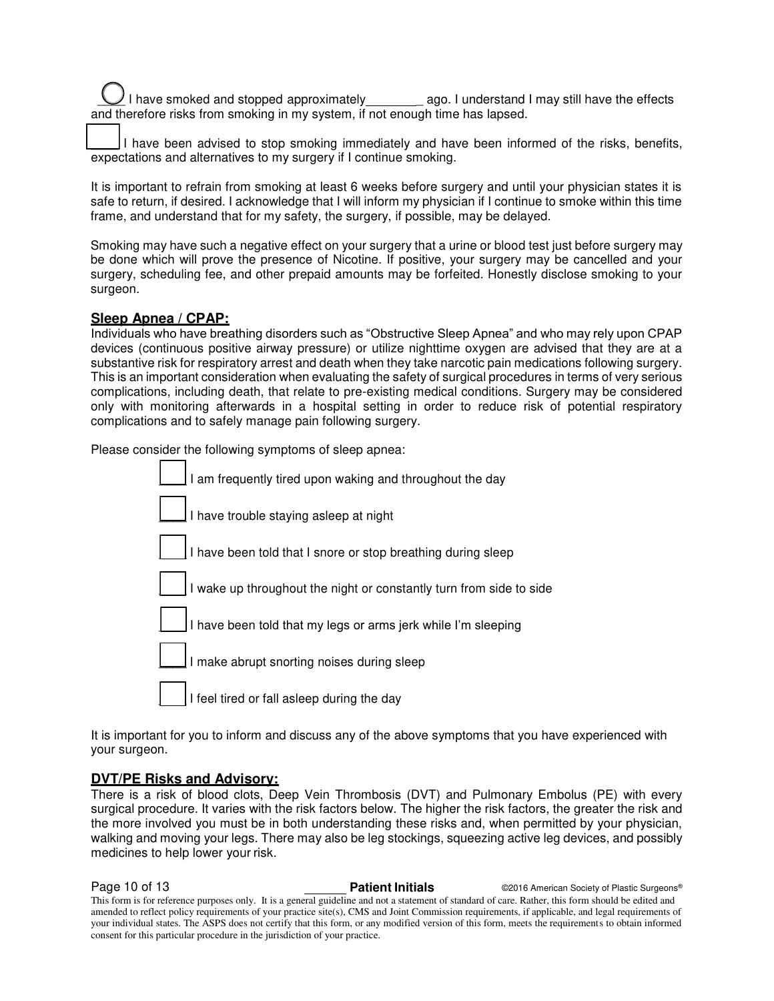I have smoked and stopped approximately \_\_\_\_\_\_\_\_ ago. I understand I may still have the effects and therefore risks from smoking in my system, if not enough time has lapsed.

I have been advised to stop smoking immediately and have been informed of the risks, benefits, expectations and alternatives to my surgery if I continue smoking.

It is important to refrain from smoking at least 6 weeks before surgery and until your physician states it is safe to return, if desired. I acknowledge that I will inform my physician if I continue to smoke within this time frame, and understand that for my safety, the surgery, if possible, may be delayed.

Smoking may have such a negative effect on your surgery that a urine or blood test just before surgery may be done which will prove the presence of Nicotine. If positive, your surgery may be cancelled and your surgery, scheduling fee, and other prepaid amounts may be forfeited. Honestly disclose smoking to your surgeon.

# **Sleep Apnea / CPAP:**

Individuals who have breathing disorders such as "Obstructive Sleep Apnea" and who may rely upon CPAP devices (continuous positive airway pressure) or utilize nighttime oxygen are advised that they are at a substantive risk for respiratory arrest and death when they take narcotic pain medications following surgery. This is an important consideration when evaluating the safety of surgical procedures in terms of very serious complications, including death, that relate to pre-existing medical conditions. Surgery may be considered only with monitoring afterwards in a hospital setting in order to reduce risk of potential respiratory complications and to safely manage pain following surgery.

Please consider the following symptoms of sleep apnea:

| I am frequently tired upon waking and throughout the day            |
|---------------------------------------------------------------------|
| I have trouble staying asleep at night                              |
| I have been told that I snore or stop breathing during sleep        |
| I wake up throughout the night or constantly turn from side to side |
| I have been told that my legs or arms jerk while I'm sleeping       |
| I make abrupt snorting noises during sleep                          |
| I feel tired or fall asleep during the day                          |
|                                                                     |

It is important for you to inform and discuss any of the above symptoms that you have experienced with your surgeon.

# **DVT/PE Risks and Advisory:**

There is a risk of blood clots, Deep Vein Thrombosis (DVT) and Pulmonary Embolus (PE) with every surgical procedure. It varies with the risk factors below. The higher the risk factors, the greater the risk and the more involved you must be in both understanding these risks and, when permitted by your physician, walking and moving your legs. There may also be leg stockings, squeezing active leg devices, and possibly medicines to help lower your risk.

**Page 10 of 13 Patient Initials Patient Initials C2016 American Society of Plastic Surgeons®** This form is for reference purposes only. It is a general guideline and not a statement of standard of care. Rather, this form should be edited and amended to reflect policy requirements of your practice site(s), CMS and Joint Commission requirements, if applicable, and legal requirements of your individual states. The ASPS does not certify that this form, or any modified version of this form, meets the requirements to obtain informed consent for this particular procedure in the jurisdiction of your practice.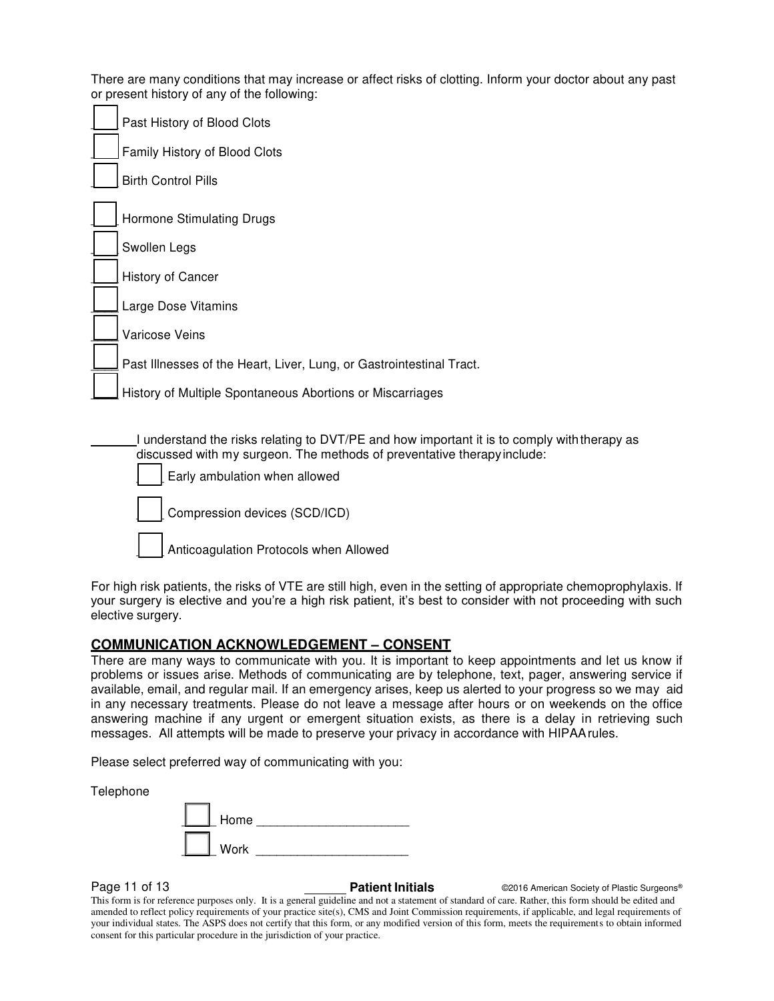There are many conditions that may increase or affect risks of clotting. Inform your doctor about any past or present history of any of the following:

|  | Past History of Blood Clots                                                                                                                                                                             |
|--|---------------------------------------------------------------------------------------------------------------------------------------------------------------------------------------------------------|
|  | Family History of Blood Clots                                                                                                                                                                           |
|  | <b>Birth Control Pills</b>                                                                                                                                                                              |
|  | Hormone Stimulating Drugs                                                                                                                                                                               |
|  | Swollen Legs                                                                                                                                                                                            |
|  | History of Cancer                                                                                                                                                                                       |
|  | Large Dose Vitamins                                                                                                                                                                                     |
|  | Varicose Veins                                                                                                                                                                                          |
|  | Past Illnesses of the Heart, Liver, Lung, or Gastrointestinal Tract.                                                                                                                                    |
|  | History of Multiple Spontaneous Abortions or Miscarriages                                                                                                                                               |
|  | I understand the risks relating to DVT/PE and how important it is to comply with therapy as<br>discussed with my surgeon. The methods of preventative therapy include:<br>Early ambulation when allowed |
|  | Compression devices (SCD/ICD)                                                                                                                                                                           |

Anticoagulation Protocols when Allowed

For high risk patients, the risks of VTE are still high, even in the setting of appropriate chemoprophylaxis. If your surgery is elective and you're a high risk patient, it's best to consider with not proceeding with such elective surgery.

# **COMMUNICATION ACKNOWLEDGEMENT – CONSENT**

There are many ways to communicate with you. It is important to keep appointments and let us know if problems or issues arise. Methods of communicating are by telephone, text, pager, answering service if available, email, and regular mail. If an emergency arises, keep us alerted to your progress so we may aid in any necessary treatments. Please do not leave a message after hours or on weekends on the office answering machine if any urgent or emergent situation exists, as there is a delay in retrieving such messages. All attempts will be made to preserve your privacy in accordance with HIPAA rules.

Please select preferred way of communicating with you:

Telephone

| Home |  |
|------|--|
| Work |  |

**Page 11 of 13 Patient Initials Patient Initials C2016 American Society of Plastic Surgeons®** 

This form is for reference purposes only. It is a general guideline and not a statement of standard of care. Rather, this form should be edited and amended to reflect policy requirements of your practice site(s), CMS and Joint Commission requirements, if applicable, and legal requirements of your individual states. The ASPS does not certify that this form, or any modified version of this form, meets the requirements to obtain informed consent for this particular procedure in the jurisdiction of your practice.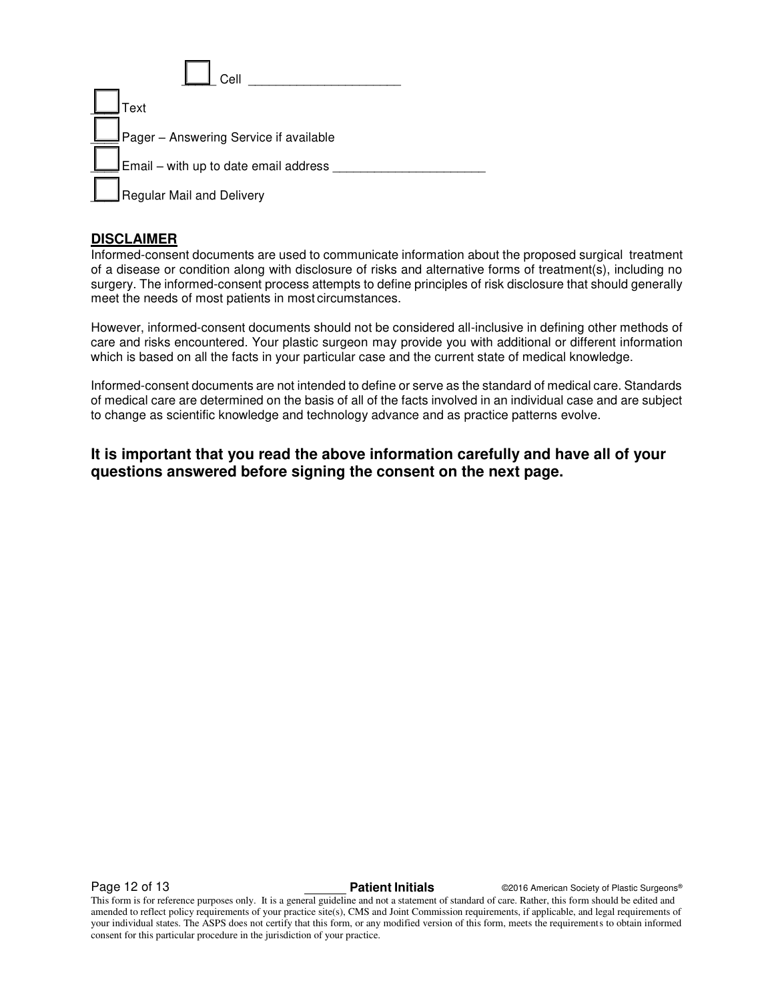| Cell                                            |  |
|-------------------------------------------------|--|
| Text                                            |  |
| Pager - Answering Service if available          |  |
| $\rfloor$ Email – with up to date email address |  |
| Regular Mail and Delivery                       |  |

# **DISCLAIMER**

Informed-consent documents are used to communicate information about the proposed surgical treatment of a disease or condition along with disclosure of risks and alternative forms of treatment(s), including no surgery. The informed-consent process attempts to define principles of risk disclosure that should generally meet the needs of most patients in most circumstances.

However, informed-consent documents should not be considered all-inclusive in defining other methods of care and risks encountered. Your plastic surgeon may provide you with additional or different information which is based on all the facts in your particular case and the current state of medical knowledge.

Informed-consent documents are not intended to define or serve as the standard of medical care. Standards of medical care are determined on the basis of all of the facts involved in an individual case and are subject to change as scientific knowledge and technology advance and as practice patterns evolve.

# **It is important that you read the above information carefully and have all of your questions answered before signing the consent on the next page.**

**Page 12 of 13 Patient Initials Patient Initials C2016 American Society of Plastic Surgeons®** 

This form is for reference purposes only. It is a general guideline and not a statement of standard of care. Rather, this form should be edited and amended to reflect policy requirements of your practice site(s), CMS and Joint Commission requirements, if applicable, and legal requirements of your individual states. The ASPS does not certify that this form, or any modified version of this form, meets the requirements to obtain informed consent for this particular procedure in the jurisdiction of your practice.